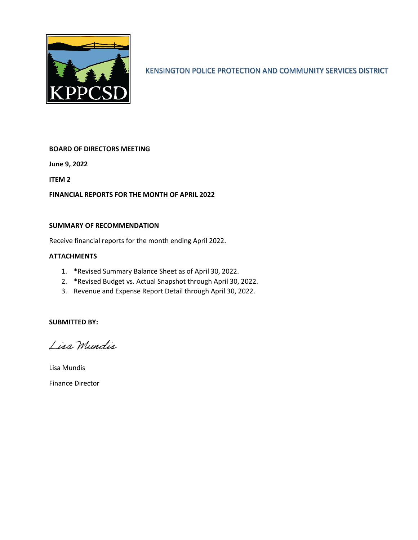

KENSINGTON POLICE PROTECTION AND COMMUNITY SERVICES DISTRICT

#### **BOARD OF DIRECTORS MEETING**

**June 9, 2022**

**ITEM 2**

**FINANCIAL REPORTS FOR THE MONTH OF APRIL 2022**

#### **SUMMARY OF RECOMMENDATION**

Receive financial reports for the month ending April 2022.

#### **ATTACHMENTS**

- 1. \*Revised Summary Balance Sheet as of April 30, 2022.
- 2. \*Revised Budget vs. Actual Snapshot through April 30, 2022.
- 3. Revenue and Expense Report Detail through April 30, 2022.

#### **SUBMITTED BY:**

Lisa Mundis

Lisa Mundis Finance Director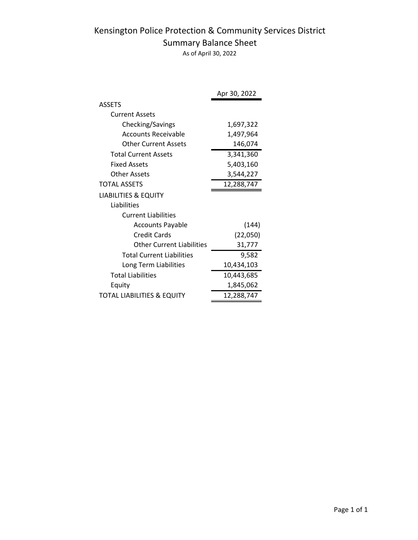# Kensington Police Protection & Community Services District Summary Balance Sheet

As of April 30, 2022

|                                  | Apr 30, 2022 |
|----------------------------------|--------------|
| <b>ASSETS</b>                    |              |
| <b>Current Assets</b>            |              |
| Checking/Savings                 | 1,697,322    |
| Accounts Receivable              | 1,497,964    |
| <b>Other Current Assets</b>      | 146,074      |
| <b>Total Current Assets</b>      | 3,341,360    |
| <b>Fixed Assets</b>              | 5,403,160    |
| Other Assets                     | 3,544,227    |
| <b>TOTAL ASSETS</b>              | 12,288,747   |
| <b>LIABILITIES &amp; EQUITY</b>  |              |
| Liabilities                      |              |
| <b>Current Liabilities</b>       |              |
| <b>Accounts Payable</b>          | (144)        |
| <b>Credit Cards</b>              | (22,050)     |
| Other Current Liabilities        | 31,777       |
| <b>Total Current Liabilities</b> | 9,582        |
| Long Term Liabilities            | 10,434,103   |
| <b>Total Liabilities</b>         | 10,443,685   |
| Equity                           | 1,845,062    |
| TOTAL LIABILITIES & EQUITY       | 12,288,747   |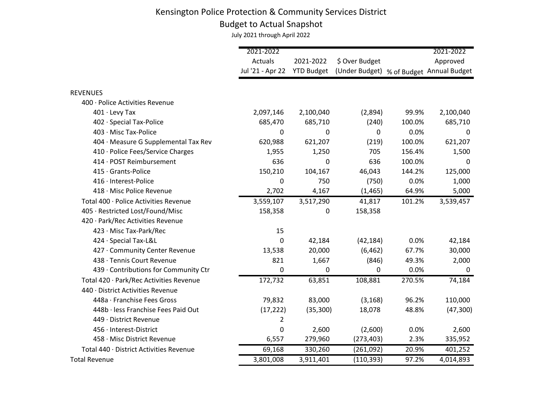# Budget to Actual Snapshot

|                                         | 2021-2022        |                   |                                          |        | 2021-2022 |
|-----------------------------------------|------------------|-------------------|------------------------------------------|--------|-----------|
|                                         | Actuals          | 2021-2022         | \$ Over Budget                           |        | Approved  |
|                                         | Jul '21 - Apr 22 | <b>YTD Budget</b> | (Under Budget) % of Budget Annual Budget |        |           |
|                                         |                  |                   |                                          |        |           |
| <b>REVENUES</b>                         |                  |                   |                                          |        |           |
| 400 · Police Activities Revenue         |                  |                   |                                          |        |           |
| $401 \cdot$ Levy Tax                    | 2,097,146        | 2,100,040         | (2,894)                                  | 99.9%  | 2,100,040 |
| 402 · Special Tax-Police                | 685,470          | 685,710           | (240)                                    | 100.0% | 685,710   |
| 403 · Misc Tax-Police                   | 0                | 0                 | 0                                        | 0.0%   | 0         |
| 404 · Measure G Supplemental Tax Rev    | 620,988          | 621,207           | (219)                                    | 100.0% | 621,207   |
| 410 · Police Fees/Service Charges       | 1,955            | 1,250             | 705                                      | 156.4% | 1,500     |
| 414 · POST Reimbursement                | 636              | $\Omega$          | 636                                      | 100.0% | 0         |
| 415 · Grants-Police                     | 150,210          | 104,167           | 46,043                                   | 144.2% | 125,000   |
| 416 · Interest-Police                   | 0                | 750               | (750)                                    | 0.0%   | 1,000     |
| 418 · Misc Police Revenue               | 2,702            | 4,167             | (1, 465)                                 | 64.9%  | 5,000     |
| Total 400 · Police Activities Revenue   | 3,559,107        | 3,517,290         | 41,817                                   | 101.2% | 3,539,457 |
| 405 · Restricted Lost/Found/Misc        | 158,358          | 0                 | 158,358                                  |        |           |
| 420 · Park/Rec Activities Revenue       |                  |                   |                                          |        |           |
| 423 · Misc Tax-Park/Rec                 | 15               |                   |                                          |        |           |
| 424 · Special Tax-L&L                   | 0                | 42,184            | (42, 184)                                | 0.0%   | 42,184    |
| 427 · Community Center Revenue          | 13,538           | 20,000            | (6, 462)                                 | 67.7%  | 30,000    |
| 438 · Tennis Court Revenue              | 821              | 1,667             | (846)                                    | 49.3%  | 2,000     |
| 439 · Contributions for Community Ctr   | 0                | 0                 | 0                                        | 0.0%   | 0         |
| Total 420 · Park/Rec Activities Revenue | 172,732          | 63,851            | 108,881                                  | 270.5% | 74,184    |
| 440 · District Activities Revenue       |                  |                   |                                          |        |           |
| 448a · Franchise Fees Gross             | 79,832           | 83,000            | (3, 168)                                 | 96.2%  | 110,000   |
| 448b · less Franchise Fees Paid Out     | (17, 222)        | (35, 300)         | 18,078                                   | 48.8%  | (47, 300) |
| 449 · District Revenue                  | 2                |                   |                                          |        |           |
| 456 · Interest-District                 | 0                | 2,600             | (2,600)                                  | 0.0%   | 2,600     |
| 458 · Misc District Revenue             | 6,557            | 279,960           | (273, 403)                               | 2.3%   | 335,952   |
| Total 440 · District Activities Revenue | 69,168           | 330,260           | (261,092)                                | 20.9%  | 401,252   |
| <b>Total Revenue</b>                    | 3,801,008        | 3,911,401         | (110, 393)                               | 97.2%  | 4,014,893 |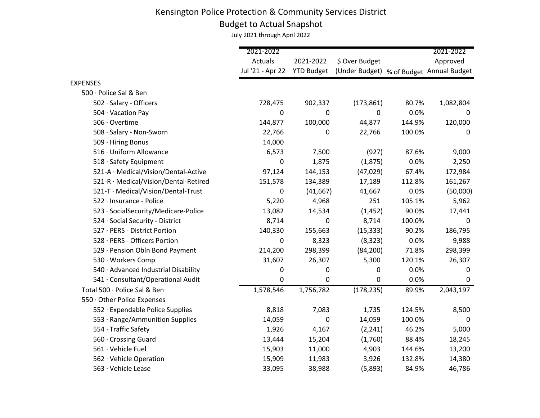# Budget to Actual Snapshot

|                                       | 2021-2022        |                   |                                          |        | 2021-2022 |
|---------------------------------------|------------------|-------------------|------------------------------------------|--------|-----------|
|                                       | Actuals          | 2021-2022         | \$ Over Budget                           |        | Approved  |
|                                       | Jul '21 - Apr 22 | <b>YTD Budget</b> | (Under Budget) % of Budget Annual Budget |        |           |
| <b>EXPENSES</b>                       |                  |                   |                                          |        |           |
| 500 · Police Sal & Ben                |                  |                   |                                          |        |           |
| 502 · Salary - Officers               | 728,475          | 902,337           | (173, 861)                               | 80.7%  | 1,082,804 |
| 504 · Vacation Pay                    | 0                | $\Omega$          | 0                                        | 0.0%   | 0         |
| 506 · Overtime                        | 144,877          | 100,000           | 44,877                                   | 144.9% | 120,000   |
| 508 · Salary - Non-Sworn              | 22,766           | 0                 | 22,766                                   | 100.0% | 0         |
| 509 · Hiring Bonus                    | 14,000           |                   |                                          |        |           |
| 516 · Uniform Allowance               | 6,573            | 7,500             | (927)                                    | 87.6%  | 9,000     |
| 518 · Safety Equipment                | 0                | 1,875             | (1, 875)                                 | 0.0%   | 2,250     |
| 521-A · Medical/Vision/Dental-Active  | 97,124           | 144,153           | (47, 029)                                | 67.4%  | 172,984   |
| 521-R · Medical/Vision/Dental-Retired | 151,578          | 134,389           | 17,189                                   | 112.8% | 161,267   |
| 521-T · Medical/Vision/Dental-Trust   | 0                | (41, 667)         | 41,667                                   | 0.0%   | (50,000)  |
| 522 · Insurance - Police              | 5,220            | 4,968             | 251                                      | 105.1% | 5,962     |
| 523 · SocialSecurity/Medicare-Police  | 13,082           | 14,534            | (1, 452)                                 | 90.0%  | 17,441    |
| 524 · Social Security - District      | 8,714            | 0                 | 8,714                                    | 100.0% | 0         |
| 527 · PERS - District Portion         | 140,330          | 155,663           | (15, 333)                                | 90.2%  | 186,795   |
| 528 · PERS - Officers Portion         | 0                | 8,323             | (8, 323)                                 | 0.0%   | 9,988     |
| 529 · Pension Obln Bond Payment       | 214,200          | 298,399           | (84, 200)                                | 71.8%  | 298,399   |
| 530 · Workers Comp                    | 31,607           | 26,307            | 5,300                                    | 120.1% | 26,307    |
| 540 · Advanced Industrial Disability  | 0                | 0                 | 0                                        | 0.0%   | 0         |
| 541 · Consultant/Operational Audit    | 0                | 0                 | 0                                        | 0.0%   | 0         |
| Total 500 · Police Sal & Ben          | 1,578,546        | 1,756,782         | (178, 235)                               | 89.9%  | 2,043,197 |
| 550 · Other Police Expenses           |                  |                   |                                          |        |           |
| 552 · Expendable Police Supplies      | 8,818            | 7,083             | 1,735                                    | 124.5% | 8,500     |
| 553 · Range/Ammunition Supplies       | 14,059           | $\Omega$          | 14,059                                   | 100.0% | 0         |
| 554 · Traffic Safety                  | 1,926            | 4,167             | (2, 241)                                 | 46.2%  | 5,000     |
| 560 · Crossing Guard                  | 13,444           | 15,204            | (1,760)                                  | 88.4%  | 18,245    |
| 561 · Vehicle Fuel                    | 15,903           | 11,000            | 4,903                                    | 144.6% | 13,200    |
| 562 · Vehicle Operation               | 15,909           | 11,983            | 3,926                                    | 132.8% | 14,380    |
| 563 · Vehicle Lease                   | 33,095           | 38,988            | (5,893)                                  | 84.9%  | 46,786    |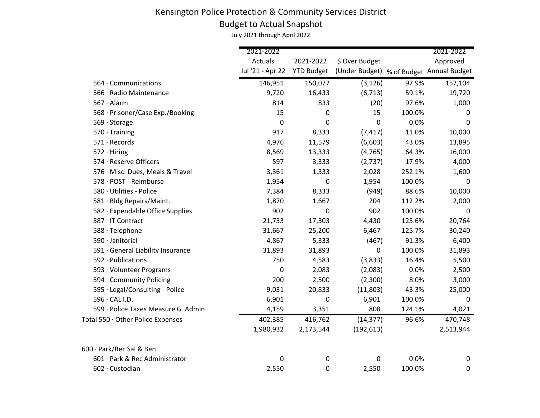# Budget to Actual Snapshot

|                                    | 2021-2022        |                   |                                          |        | 2021-2022 |
|------------------------------------|------------------|-------------------|------------------------------------------|--------|-----------|
|                                    | Actuals          | 2021-2022         | \$ Over Budget                           |        | Approved  |
|                                    | Jul '21 - Apr 22 | <b>YTD Budget</b> | (Under Budget) % of Budget Annual Budget |        |           |
| 564 · Communications               | 146,951          | 150,077           | (3, 126)                                 | 97.9%  | 157,104   |
| 566 · Radio Maintenance            | 9,720            | 16,433            | (6, 713)                                 | 59.1%  | 19,720    |
| $567 \cdot$ Alarm                  | 814              | 833               | (20)                                     | 97.6%  | 1,000     |
| 568 · Prisoner/Case Exp./Booking   | 15               | 0                 | 15                                       | 100.0% | 0         |
| 569 · Storage                      | 0                | 0                 | 0                                        | 0.0%   | 0         |
| $570 \cdot$ Training               | 917              | 8,333             | (7, 417)                                 | 11.0%  | 10,000    |
| $571 \cdot$ Records                | 4,976            | 11,579            | (6,603)                                  | 43.0%  | 13,895    |
| $572 \cdot$ Hiring                 | 8,569            | 13,333            | (4, 765)                                 | 64.3%  | 16,000    |
| 574 · Reserve Officers             | 597              | 3,333             | (2,737)                                  | 17.9%  | 4,000     |
| 576 · Misc. Dues, Meals & Travel   | 3,361            | 1,333             | 2,028                                    | 252.1% | 1,600     |
| 578 · POST - Reimburse             | 1,954            | $\mathbf 0$       | 1,954                                    | 100.0% | 0         |
| 580 · Utilities - Police           | 7,384            | 8,333             | (949)                                    | 88.6%  | 10,000    |
| 581 · Bldg Repairs/Maint.          | 1,870            | 1,667             | 204                                      | 112.2% | 2,000     |
| 582 · Expendable Office Supplies   | 902              | 0                 | 902                                      | 100.0% | 0         |
| 587 · IT Contract                  | 21,733           | 17,303            | 4,430                                    | 125.6% | 20,764    |
| 588 · Telephone                    | 31,667           | 25,200            | 6,467                                    | 125.7% | 30,240    |
| 590 · Janitorial                   | 4,867            | 5,333             | (467)                                    | 91.3%  | 6,400     |
| 591 · General Liability Insurance  | 31,893           | 31,893            | $\mathbf 0$                              | 100.0% | 31,893    |
| 592 · Publications                 | 750              | 4,583             | (3,833)                                  | 16.4%  | 5,500     |
| 593 · Volunteer Programs           | 0                | 2,083             | (2,083)                                  | 0.0%   | 2,500     |
| 594 · Community Policing           | 200              | 2,500             | (2,300)                                  | 8.0%   | 3,000     |
| 595 · Legal/Consulting - Police    | 9,031            | 20,833            | (11,803)                                 | 43.3%  | 25,000    |
| 596 · CAL I.D.                     | 6,901            | 0                 | 6,901                                    | 100.0% | 0         |
| 599 · Police Taxes Measure G Admin | 4,159            | 3,351             | 808                                      | 124.1% | 4,021     |
| Total 550 · Other Police Expenses  | 402,385          | 416,762           | (14, 377)                                | 96.6%  | 470,748   |
|                                    | 1,980,932        | 2,173,544         | (192, 613)                               |        | 2,513,944 |
| 600 · Park/Rec Sal & Ben           |                  |                   |                                          |        |           |
| 601 · Park & Rec Administrator     | 0                | $\mathbf 0$       | 0                                        | 0.0%   | 0         |
| 602 · Custodian                    | 2,550            | 0                 | 2,550                                    | 100.0% | $\pmb{0}$ |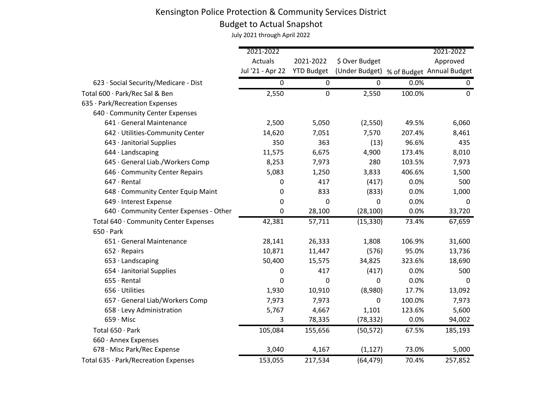# Budget to Actual Snapshot

|                                         | 2021-2022        |                   |                                          |        | 2021-2022   |
|-----------------------------------------|------------------|-------------------|------------------------------------------|--------|-------------|
|                                         | Actuals          | 2021-2022         | \$ Over Budget                           |        | Approved    |
|                                         | Jul '21 - Apr 22 | <b>YTD Budget</b> | (Under Budget) % of Budget Annual Budget |        |             |
| 623 · Social Security/Medicare - Dist   | 0                | $\pmb{0}$         | 0                                        | 0.0%   | $\mathbf 0$ |
| Total 600 · Park/Rec Sal & Ben          | 2,550            | $\mathbf 0$       | 2,550                                    | 100.0% | $\mathbf 0$ |
| 635 · Park/Recreation Expenses          |                  |                   |                                          |        |             |
| 640 · Community Center Expenses         |                  |                   |                                          |        |             |
| 641 · General Maintenance               | 2,500            | 5,050             | (2, 550)                                 | 49.5%  | 6,060       |
| 642 · Utilities-Community Center        | 14,620           | 7,051             | 7,570                                    | 207.4% | 8,461       |
| 643 · Janitorial Supplies               | 350              | 363               | (13)                                     | 96.6%  | 435         |
| 644 · Landscaping                       | 11,575           | 6,675             | 4,900                                    | 173.4% | 8,010       |
| 645 · General Liab./Workers Comp        | 8,253            | 7,973             | 280                                      | 103.5% | 7,973       |
| 646 · Community Center Repairs          | 5,083            | 1,250             | 3,833                                    | 406.6% | 1,500       |
| $647 \cdot$ Rental                      | 0                | 417               | (417)                                    | 0.0%   | 500         |
| 648 · Community Center Equip Maint      | 0                | 833               | (833)                                    | 0.0%   | 1,000       |
| 649 · Interest Expense                  | 0                | 0                 | 0                                        | 0.0%   | 0           |
| 640 · Community Center Expenses - Other | 0                | 28,100            | (28, 100)                                | 0.0%   | 33,720      |
| Total 640 · Community Center Expenses   | 42,381           | 57,711            | (15, 330)                                | 73.4%  | 67,659      |
| $650 \cdot$ Park                        |                  |                   |                                          |        |             |
| 651 · General Maintenance               | 28,141           | 26,333            | 1,808                                    | 106.9% | 31,600      |
| $652 \cdot$ Repairs                     | 10,871           | 11,447            | (576)                                    | 95.0%  | 13,736      |
| 653 · Landscaping                       | 50,400           | 15,575            | 34,825                                   | 323.6% | 18,690      |
| 654 · Janitorial Supplies               | 0                | 417               | (417)                                    | 0.0%   | 500         |
| $655 \cdot$ Rental                      | 0                | 0                 | 0                                        | 0.0%   | 0           |
| $656 \cdot$ Utilities                   | 1,930            | 10,910            | (8,980)                                  | 17.7%  | 13,092      |
| 657 · General Liab/Workers Comp         | 7,973            | 7,973             | 0                                        | 100.0% | 7,973       |
| 658 · Levy Administration               | 5,767            | 4,667             | 1,101                                    | 123.6% | 5,600       |
| $659 \cdot$ Misc                        | 3                | 78,335            | (78, 332)                                | 0.0%   | 94,002      |
| Total 650 · Park                        | 105,084          | 155,656           | (50, 572)                                | 67.5%  | 185,193     |
| 660 · Annex Expenses                    |                  |                   |                                          |        |             |
| 678 · Misc Park/Rec Expense             | 3,040            | 4,167             | (1, 127)                                 | 73.0%  | 5,000       |
| Total 635 · Park/Recreation Expenses    | 153,055          | 217,534           | (64, 479)                                | 70.4%  | 257,852     |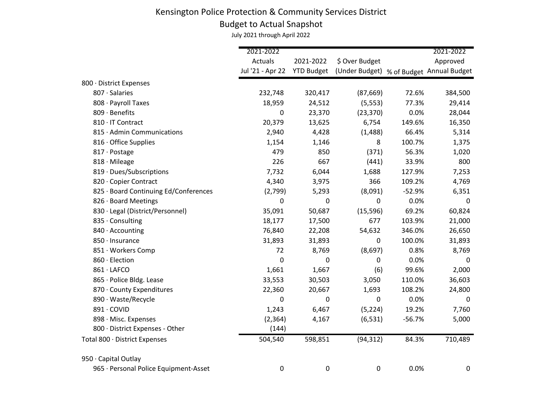# Budget to Actual Snapshot

|                                       | 2021-2022        |                  |                                                     |          | 2021-2022 |
|---------------------------------------|------------------|------------------|-----------------------------------------------------|----------|-----------|
|                                       | Actuals          | 2021-2022        | \$ Over Budget                                      |          | Approved  |
|                                       | Jul '21 - Apr 22 |                  | YTD Budget (Under Budget) % of Budget Annual Budget |          |           |
| 800 · District Expenses               |                  |                  |                                                     |          |           |
| 807 · Salaries                        | 232,748          | 320,417          | (87, 669)                                           | 72.6%    | 384,500   |
| 808 · Payroll Taxes                   | 18,959           | 24,512           | (5, 553)                                            | 77.3%    | 29,414    |
| 809 · Benefits                        | 0                | 23,370           | (23, 370)                                           | 0.0%     | 28,044    |
| 810 · IT Contract                     | 20,379           | 13,625           | 6,754                                               | 149.6%   | 16,350    |
| 815 · Admin Communications            | 2,940            | 4,428            | (1, 488)                                            | 66.4%    | 5,314     |
| 816 Office Supplies                   | 1,154            | 1,146            | 8                                                   | 100.7%   | 1,375     |
| 817 · Postage                         | 479              | 850              | (371)                                               | 56.3%    | 1,020     |
| 818 · Mileage                         | 226              | 667              | (441)                                               | 33.9%    | 800       |
| 819 · Dues/Subscriptions              | 7,732            | 6,044            | 1,688                                               | 127.9%   | 7,253     |
| 820 · Copier Contract                 | 4,340            | 3,975            | 366                                                 | 109.2%   | 4,769     |
| 825 · Board Continuing Ed/Conferences | (2,799)          | 5,293            | (8,091)                                             | $-52.9%$ | 6,351     |
| 826 · Board Meetings                  | 0                | 0                | 0                                                   | 0.0%     | 0         |
| 830 · Legal (District/Personnel)      | 35,091           | 50,687           | (15, 596)                                           | 69.2%    | 60,824    |
| 835 · Consulting                      | 18,177           | 17,500           | 677                                                 | 103.9%   | 21,000    |
| 840 · Accounting                      | 76,840           | 22,208           | 54,632                                              | 346.0%   | 26,650    |
| 850 · Insurance                       | 31,893           | 31,893           | 0                                                   | 100.0%   | 31,893    |
| 851 · Workers Comp                    | 72               | 8,769            | (8,697)                                             | 0.8%     | 8,769     |
| 860 · Election                        | 0                | 0                | $\pmb{0}$                                           | 0.0%     | 0         |
| 861 · LAFCO                           | 1,661            | 1,667            | (6)                                                 | 99.6%    | 2,000     |
| 865 · Police Bldg. Lease              | 33,553           | 30,503           | 3,050                                               | 110.0%   | 36,603    |
| 870 · County Expenditures             | 22,360           | 20,667           | 1,693                                               | 108.2%   | 24,800    |
| 890 · Waste/Recycle                   | 0                | 0                | 0                                                   | 0.0%     | 0         |
| 891 · COVID                           | 1,243            | 6,467            | (5, 224)                                            | 19.2%    | 7,760     |
| 898 · Misc. Expenses                  | (2, 364)         | 4,167            | (6, 531)                                            | $-56.7%$ | 5,000     |
| 800 · District Expenses - Other       | (144)            |                  |                                                     |          |           |
| Total 800 · District Expenses         | 504,540          | 598,851          | (94, 312)                                           | 84.3%    | 710,489   |
| 950 · Capital Outlay                  |                  |                  |                                                     |          |           |
| 965 · Personal Police Equipment-Asset | 0                | $\boldsymbol{0}$ | 0                                                   | 0.0%     | 0         |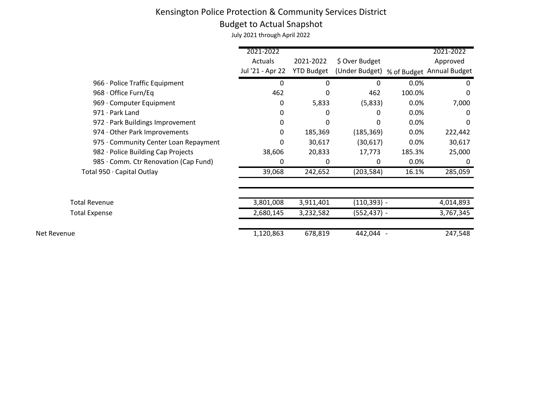#### Budget to Actual Snapshot

|                                       | 2021-2022        |                   |                                          |        | 2021-2022 |
|---------------------------------------|------------------|-------------------|------------------------------------------|--------|-----------|
|                                       | Actuals          | 2021-2022         | \$ Over Budget                           |        | Approved  |
|                                       | Jul '21 - Apr 22 | <b>YTD Budget</b> | (Under Budget) % of Budget Annual Budget |        |           |
| 966 · Police Traffic Equipment        | 0                | 0                 | 0                                        | 0.0%   | 0         |
| 968 · Office Furn/Eq                  | 462              | 0                 | 462                                      | 100.0% | 0         |
| 969 · Computer Equipment              | 0                | 5,833             | (5,833)                                  | 0.0%   | 7,000     |
| $971 \cdot$ Park Land                 | 0                | 0                 | 0                                        | 0.0%   | 0         |
| 972 · Park Buildings Improvement      | 0                | 0                 | 0                                        | 0.0%   | 0         |
| 974 · Other Park Improvements         | 0                | 185,369           | (185, 369)                               | 0.0%   | 222,442   |
| 975 · Community Center Loan Repayment | 0                | 30,617            | (30, 617)                                | 0.0%   | 30,617    |
| 982 · Police Building Cap Projects    | 38,606           | 20,833            | 17,773                                   | 185.3% | 25,000    |
| 985 · Comm. Ctr Renovation (Cap Fund) | 0                | 0                 | 0                                        | 0.0%   | 0         |
| Total 950 · Capital Outlay            | 39,068           | 242,652           | (203, 584)                               | 16.1%  | 285,059   |
|                                       |                  |                   |                                          |        |           |
| <b>Total Revenue</b>                  | 3,801,008        | 3,911,401         | (110,393) -                              |        | 4,014,893 |
| <b>Total Expense</b>                  | 2,680,145        | 3,232,582         | (552,437) -                              |        | 3,767,345 |
| Net Revenue                           | 1,120,863        | 678,819           | 442,044 -                                |        | 247,548   |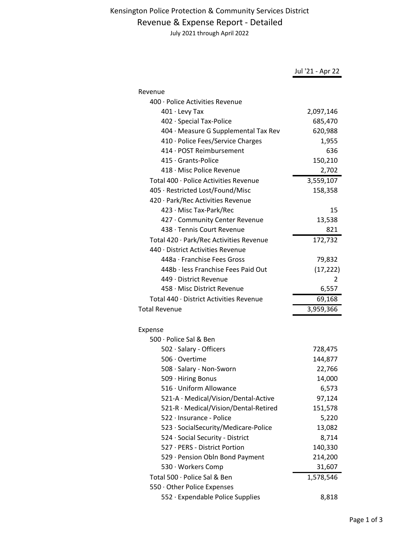#### Revenue & Expense Report - Detailed

|                                         | Jul '21 - Apr 22 |
|-----------------------------------------|------------------|
|                                         |                  |
| Revenue                                 |                  |
| 400 · Police Activities Revenue         |                  |
| $401 \cdot$ Levy Tax                    | 2,097,146        |
| 402 · Special Tax-Police                | 685,470          |
| 404 · Measure G Supplemental Tax Rev    | 620,988          |
| 410 · Police Fees/Service Charges       | 1,955            |
| 414 · POST Reimbursement                | 636              |
| 415 Grants-Police                       | 150,210          |
| 418 · Misc Police Revenue               | 2,702            |
| Total 400 · Police Activities Revenue   | 3,559,107        |
| 405 · Restricted Lost/Found/Misc        | 158,358          |
| 420 · Park/Rec Activities Revenue       |                  |
| 423 · Misc Tax-Park/Rec                 | 15               |
| 427 · Community Center Revenue          | 13,538           |
| 438 · Tennis Court Revenue              | 821              |
| Total 420 · Park/Rec Activities Revenue | 172,732          |
| 440 · District Activities Revenue       |                  |
| 448a · Franchise Fees Gross             | 79,832           |
| 448b · less Franchise Fees Paid Out     | (17, 222)        |
| 449 · District Revenue                  | 2                |
| 458 · Misc District Revenue             | 6,557            |
| Total 440 · District Activities Revenue | 69,168           |
| <b>Total Revenue</b>                    | 3,959,366        |
|                                         |                  |
| Expense                                 |                  |
| 500 · Police Sal & Ben                  |                  |
|                                         |                  |
| 502 · Salary - Officers                 | 728,475          |
| 506 · Overtime                          | 144,877          |
| 508 · Salary - Non-Sworn                | 22,766           |
| 509 · Hiring Bonus                      | 14,000           |
| 516 · Uniform Allowance                 | 6,573            |
| 521-A · Medical/Vision/Dental-Active    | 97,124           |
| 521-R · Medical/Vision/Dental-Retired   | 151,578          |
| 522 · Insurance - Police                | 5,220            |
| 523 · SocialSecurity/Medicare-Police    | 13,082           |
| 524 · Social Security - District        | 8,714            |
| 527 · PERS - District Portion           | 140,330          |
| 529 · Pension Obln Bond Payment         | 214,200          |
| 530 · Workers Comp                      | 31,607           |
| Total 500 · Police Sal & Ben            | 1,578,546        |
| 550 · Other Police Expenses             |                  |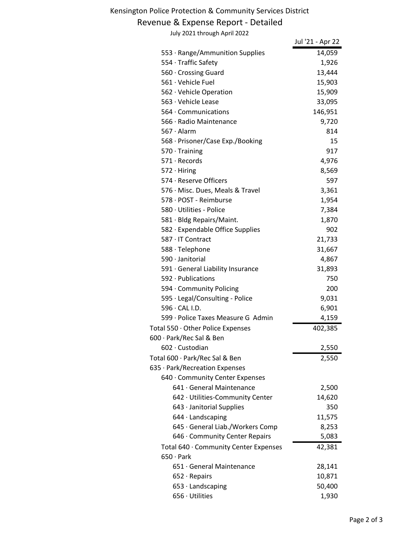#### Revenue & Expense Report - Detailed

| July 2021 through April 2022          |                  |
|---------------------------------------|------------------|
|                                       | Jul '21 - Apr 22 |
| 553 · Range/Ammunition Supplies       | 14,059           |
| 554 · Traffic Safety                  | 1,926            |
| 560 Crossing Guard                    | 13,444           |
| 561 · Vehicle Fuel                    | 15,903           |
| 562 · Vehicle Operation               | 15,909           |
| 563 · Vehicle Lease                   | 33,095           |
| $564 \cdot$ Communications            | 146,951          |
| 566 · Radio Maintenance               | 9,720            |
| $567 \cdot$ Alarm                     | 814              |
| 568 · Prisoner/Case Exp./Booking      | 15               |
| $570 \cdot$ Training                  | 917              |
| $571 \cdot$ Records                   | 4,976            |
| $572 \cdot$ Hiring                    | 8,569            |
| 574 · Reserve Officers                | 597              |
| 576 · Misc. Dues, Meals & Travel      | 3,361            |
| 578 · POST - Reimburse                | 1,954            |
| 580 · Utilities - Police              | 7,384            |
| 581 · Bldg Repairs/Maint.             | 1,870            |
| 582 · Expendable Office Supplies      | 902              |
| 587 · IT Contract                     | 21,733           |
| 588 · Telephone                       | 31,667           |
| 590 · Janitorial                      | 4,867            |
| 591 · General Liability Insurance     | 31,893           |
| 592 · Publications                    | 750              |
| 594 Community Policing                | 200              |
| 595 · Legal/Consulting - Police       | 9,031            |
| 596 · CAL I.D.                        | 6,901            |
| 599 · Police Taxes Measure G Admin    | 4,159            |
| Total 550 · Other Police Expenses     | 402,385          |
| 600 · Park/Rec Sal & Ben              |                  |
| 602 · Custodian                       | 2,550            |
| Total 600 · Park/Rec Sal & Ben        | 2,550            |
| 635 · Park/Recreation Expenses        |                  |
| 640 · Community Center Expenses       |                  |
| 641 · General Maintenance             | 2,500            |
| 642 · Utilities-Community Center      | 14,620           |
| 643 · Janitorial Supplies             | 350              |
| 644 · Landscaping                     | 11,575           |
| 645 · General Liab./Workers Comp      | 8,253            |
| 646 · Community Center Repairs        | 5,083            |
| Total 640 · Community Center Expenses | 42,381           |
| $650 \cdot$ Park                      |                  |
| 651 · General Maintenance             | 28,141           |
| $652 \cdot$ Repairs                   | 10,871           |
| $653 \cdot$ Landscaping               | 50,400           |
| 656 · Utilities                       | 1,930            |
|                                       |                  |